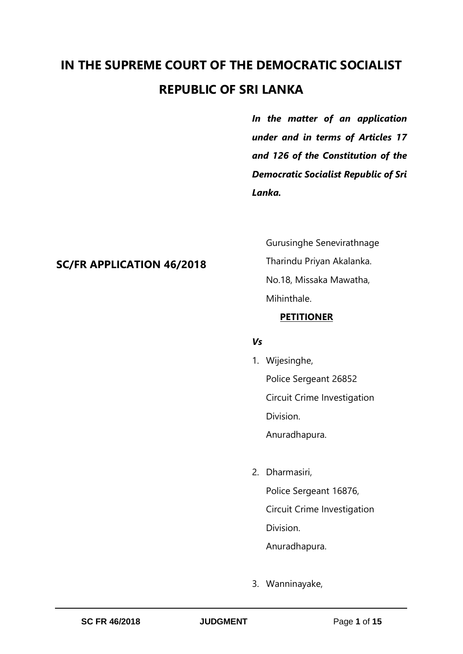# **IN THE SUPREME COURT OF THE DEMOCRATIC SOCIALIST REPUBLIC OF SRI LANKA**

*In the matter of an application under and in terms of Articles 17 and 126 of the Constitution of the Democratic Socialist Republic of Sri Lanka.* 

# **SC/FR APPLICATION 46/2018**

Gurusinghe Senevirathnage Tharindu Priyan Akalanka. No.18, Missaka Mawatha, Mihinthale.

# **PETITIONER**

# *Vs*

- 1. Wijesinghe, Police Sergeant 26852 Circuit Crime Investigation Division. Anuradhapura.
- 2. Dharmasiri, Police Sergeant 16876, Circuit Crime Investigation Division. Anuradhapura.
- 3. Wanninayake,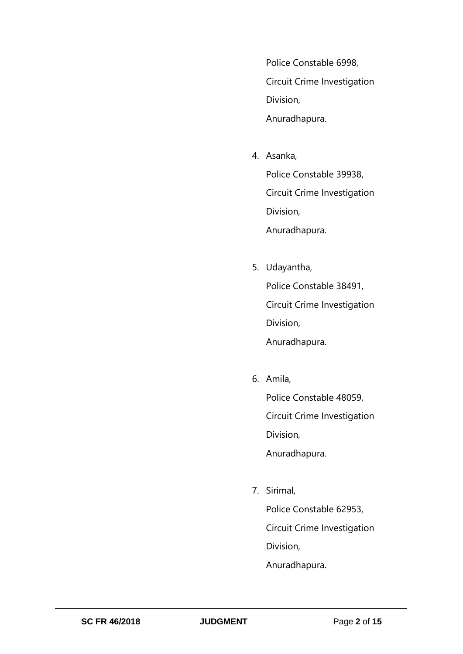Police Constable 6998, Circuit Crime Investigation Division, Anuradhapura.

- 4. Asanka, Police Constable 39938, Circuit Crime Investigation Division, Anuradhapura.
- 5. Udayantha, Police Constable 38491, Circuit Crime Investigation Division, Anuradhapura.
- 6. Amila,

Police Constable 48059, Circuit Crime Investigation Division, Anuradhapura.

7. Sirimal,

Police Constable 62953, Circuit Crime Investigation Division, Anuradhapura.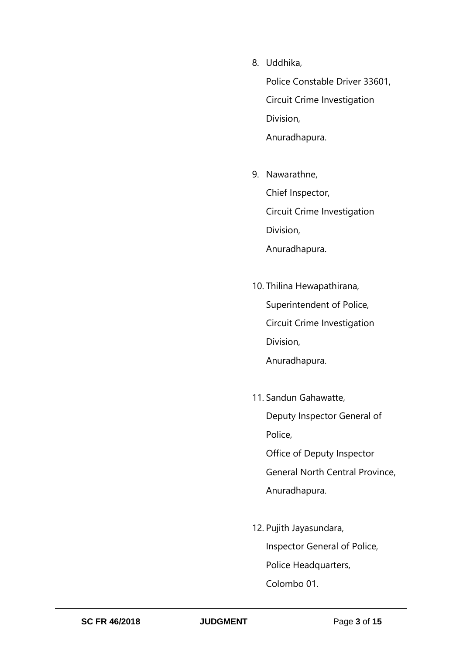8. Uddhika,

Police Constable Driver 33601, Circuit Crime Investigation Division, Anuradhapura.

- 9. Nawarathne, Chief Inspector, Circuit Crime Investigation Division, Anuradhapura.
- 10. Thilina Hewapathirana, Superintendent of Police, Circuit Crime Investigation Division, Anuradhapura.
- 11. Sandun Gahawatte, Deputy Inspector General of Police, Office of Deputy Inspector General North Central Province, Anuradhapura.
- 12. Pujith Jayasundara, Inspector General of Police, Police Headquarters, Colombo 01.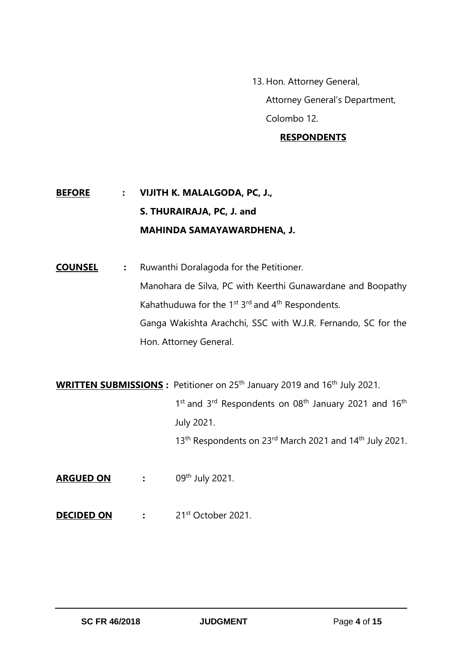13. Hon. Attorney General, Attorney General's Department, Colombo 12.

# **RESPONDENTS**

# **BEFORE : VIJITH K. MALALGODA, PC, J., S. THURAIRAJA, PC, J. and MAHINDA SAMAYAWARDHENA, J.**

**COUNSEL :** Ruwanthi Doralagoda for the Petitioner. Manohara de Silva, PC with Keerthi Gunawardane and Boopathy Kahathuduwa for the 1<sup>st</sup> 3<sup>rd</sup> and 4<sup>th</sup> Respondents. Ganga Wakishta Arachchi, SSC with W.J.R. Fernando, SC for the Hon. Attorney General.

**WRITTEN SUBMISSIONS** : Petitioner on 25<sup>th</sup> January 2019 and 16<sup>th</sup> July 2021. 1<sup>st</sup> and 3<sup>rd</sup> Respondents on 08<sup>th</sup> January 2021 and 16<sup>th</sup> July 2021. 13<sup>th</sup> Respondents on 23<sup>rd</sup> March 2021 and 14<sup>th</sup> July 2021.

- **ARGUED ON :** 09<sup>th</sup> July 2021.
- **DECIDED ON :** 21st October 2021.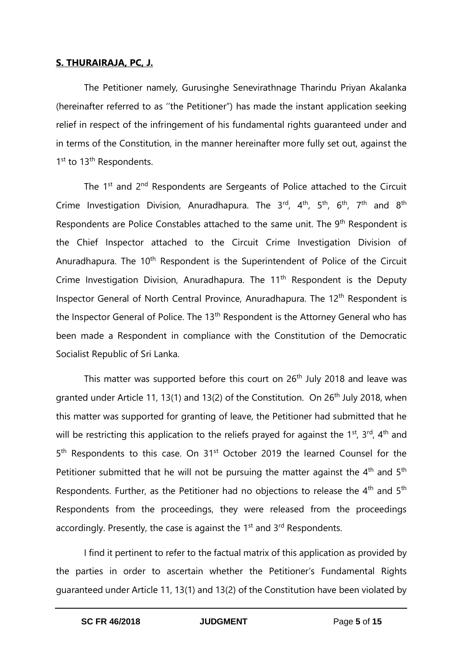### **S. THURAIRAJA, PC, J.**

The Petitioner namely, Gurusinghe Senevirathnage Tharindu Priyan Akalanka (hereinafter referred to as ''the Petitioner") has made the instant application seeking relief in respect of the infringement of his fundamental rights guaranteed under and in terms of the Constitution, in the manner hereinafter more fully set out, against the 1<sup>st</sup> to 13<sup>th</sup> Respondents.

The 1<sup>st</sup> and 2<sup>nd</sup> Respondents are Sergeants of Police attached to the Circuit Crime Investigation Division, Anuradhapura. The  $3^{rd}$ ,  $4^{th}$ ,  $5^{th}$ ,  $6^{th}$ ,  $7^{th}$  and  $8^{th}$ Respondents are Police Constables attached to the same unit. The 9<sup>th</sup> Respondent is the Chief Inspector attached to the Circuit Crime Investigation Division of Anuradhapura. The 10<sup>th</sup> Respondent is the Superintendent of Police of the Circuit Crime Investigation Division, Anuradhapura. The 11<sup>th</sup> Respondent is the Deputy Inspector General of North Central Province, Anuradhapura. The 12<sup>th</sup> Respondent is the Inspector General of Police. The 13<sup>th</sup> Respondent is the Attorney General who has been made a Respondent in compliance with the Constitution of the Democratic Socialist Republic of Sri Lanka.

This matter was supported before this court on 26<sup>th</sup> July 2018 and leave was granted under Article 11, 13(1) and 13(2) of the Constitution. On  $26<sup>th</sup>$  July 2018, when this matter was supported for granting of leave, the Petitioner had submitted that he will be restricting this application to the reliefs prayed for against the 1<sup>st</sup>, 3<sup>rd</sup>, 4<sup>th</sup> and 5<sup>th</sup> Respondents to this case. On 31<sup>st</sup> October 2019 the learned Counsel for the Petitioner submitted that he will not be pursuing the matter against the  $4<sup>th</sup>$  and  $5<sup>th</sup>$ Respondents. Further, as the Petitioner had no objections to release the  $4<sup>th</sup>$  and  $5<sup>th</sup>$ Respondents from the proceedings, they were released from the proceedings accordingly. Presently, the case is against the  $1<sup>st</sup>$  and  $3<sup>rd</sup>$  Respondents.

I find it pertinent to refer to the factual matrix of this application as provided by the parties in order to ascertain whether the Petitioner's Fundamental Rights guaranteed under Article 11, 13(1) and 13(2) of the Constitution have been violated by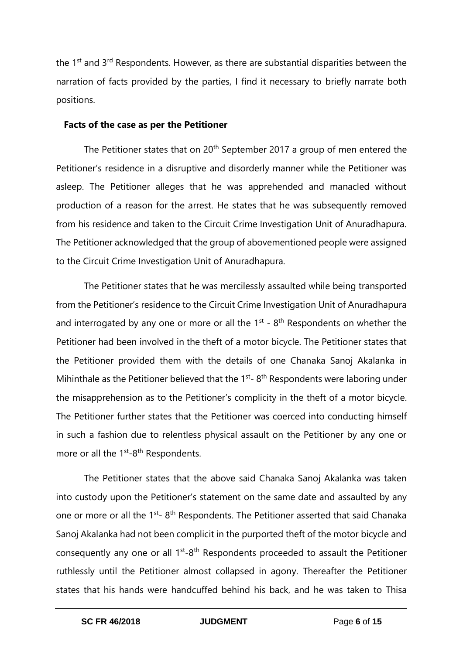the  $1<sup>st</sup>$  and  $3<sup>rd</sup>$  Respondents. However, as there are substantial disparities between the narration of facts provided by the parties, I find it necessary to briefly narrate both positions.

#### **Facts of the case as per the Petitioner**

The Petitioner states that on  $20<sup>th</sup>$  September 2017 a group of men entered the Petitioner's residence in a disruptive and disorderly manner while the Petitioner was asleep. The Petitioner alleges that he was apprehended and manacled without production of a reason for the arrest. He states that he was subsequently removed from his residence and taken to the Circuit Crime Investigation Unit of Anuradhapura. The Petitioner acknowledged that the group of abovementioned people were assigned to the Circuit Crime Investigation Unit of Anuradhapura.

The Petitioner states that he was mercilessly assaulted while being transported from the Petitioner's residence to the Circuit Crime Investigation Unit of Anuradhapura and interrogated by any one or more or all the  $1<sup>st</sup>$  -  $8<sup>th</sup>$  Respondents on whether the Petitioner had been involved in the theft of a motor bicycle. The Petitioner states that the Petitioner provided them with the details of one Chanaka Sanoj Akalanka in Mihinthale as the Petitioner believed that the  $1<sup>st</sup>$ - 8<sup>th</sup> Respondents were laboring under the misapprehension as to the Petitioner's complicity in the theft of a motor bicycle. The Petitioner further states that the Petitioner was coerced into conducting himself in such a fashion due to relentless physical assault on the Petitioner by any one or more or all the 1<sup>st</sup>-8<sup>th</sup> Respondents.

The Petitioner states that the above said Chanaka Sanoj Akalanka was taken into custody upon the Petitioner's statement on the same date and assaulted by any one or more or all the 1<sup>st</sup>-8<sup>th</sup> Respondents. The Petitioner asserted that said Chanaka Sanoj Akalanka had not been complicit in the purported theft of the motor bicycle and consequently any one or all  $1<sup>st</sup>-8<sup>th</sup>$  Respondents proceeded to assault the Petitioner ruthlessly until the Petitioner almost collapsed in agony. Thereafter the Petitioner states that his hands were handcuffed behind his back, and he was taken to Thisa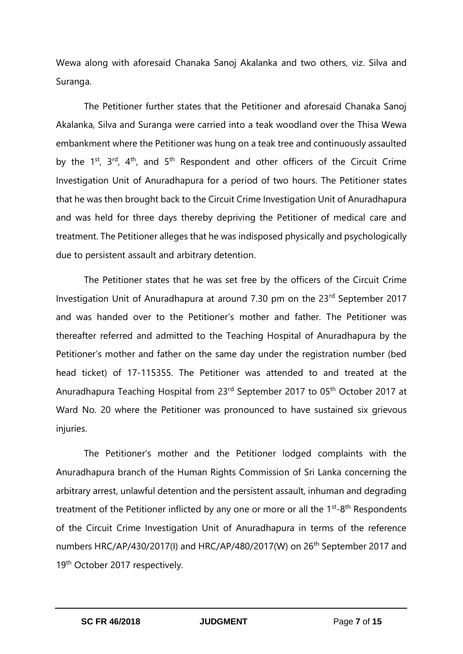Wewa along with aforesaid Chanaka Sanoj Akalanka and two others, viz. Silva and Suranga.

The Petitioner further states that the Petitioner and aforesaid Chanaka Sanoj Akalanka, Silva and Suranga were carried into a teak woodland over the Thisa Wewa embankment where the Petitioner was hung on a teak tree and continuously assaulted by the  $1<sup>st</sup>$ ,  $3<sup>rd</sup>$ ,  $4<sup>th</sup>$ , and  $5<sup>th</sup>$  Respondent and other officers of the Circuit Crime Investigation Unit of Anuradhapura for a period of two hours. The Petitioner states that he was then brought back to the Circuit Crime Investigation Unit of Anuradhapura and was held for three days thereby depriving the Petitioner of medical care and treatment. The Petitioner alleges that he was indisposed physically and psychologically due to persistent assault and arbitrary detention.

The Petitioner states that he was set free by the officers of the Circuit Crime Investigation Unit of Anuradhapura at around 7.30 pm on the 23<sup>rd</sup> September 2017 and was handed over to the Petitioner's mother and father. The Petitioner was thereafter referred and admitted to the Teaching Hospital of Anuradhapura by the Petitioner's mother and father on the same day under the registration number (bed head ticket) of 17-115355. The Petitioner was attended to and treated at the Anuradhapura Teaching Hospital from 23<sup>rd</sup> September 2017 to 05<sup>th</sup> October 2017 at Ward No. 20 where the Petitioner was pronounced to have sustained six grievous injuries.

The Petitioner's mother and the Petitioner lodged complaints with the Anuradhapura branch of the Human Rights Commission of Sri Lanka concerning the arbitrary arrest, unlawful detention and the persistent assault, inhuman and degrading treatment of the Petitioner inflicted by any one or more or all the  $1<sup>st</sup>-8<sup>th</sup>$  Respondents of the Circuit Crime Investigation Unit of Anuradhapura in terms of the reference numbers HRC/AP/430/2017(I) and HRC/AP/480/2017(W) on 26<sup>th</sup> September 2017 and 19<sup>th</sup> October 2017 respectively.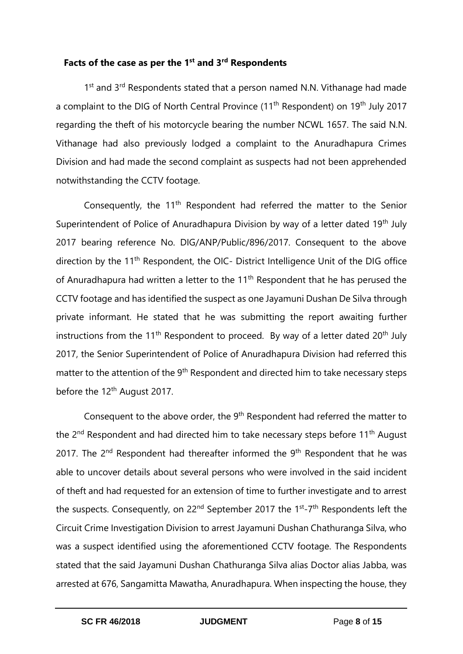# **Facts of the case as per the 1 st and 3rd Respondents**

1<sup>st</sup> and 3<sup>rd</sup> Respondents stated that a person named N.N. Vithanage had made a complaint to the DIG of North Central Province (11<sup>th</sup> Respondent) on 19<sup>th</sup> July 2017 regarding the theft of his motorcycle bearing the number NCWL 1657. The said N.N. Vithanage had also previously lodged a complaint to the Anuradhapura Crimes Division and had made the second complaint as suspects had not been apprehended notwithstanding the CCTV footage.

Consequently, the 11<sup>th</sup> Respondent had referred the matter to the Senior Superintendent of Police of Anuradhapura Division by way of a letter dated 19<sup>th</sup> July 2017 bearing reference No. DIG/ANP/Public/896/2017. Consequent to the above direction by the 11<sup>th</sup> Respondent, the OIC- District Intelligence Unit of the DIG office of Anuradhapura had written a letter to the 11<sup>th</sup> Respondent that he has perused the CCTV footage and has identified the suspect as one Jayamuni Dushan De Silva through private informant. He stated that he was submitting the report awaiting further instructions from the 11<sup>th</sup> Respondent to proceed. By way of a letter dated 20<sup>th</sup> July 2017, the Senior Superintendent of Police of Anuradhapura Division had referred this matter to the attention of the 9<sup>th</sup> Respondent and directed him to take necessary steps before the 12<sup>th</sup> August 2017.

Consequent to the above order, the 9<sup>th</sup> Respondent had referred the matter to the 2<sup>nd</sup> Respondent and had directed him to take necessary steps before 11<sup>th</sup> August 2017. The  $2<sup>nd</sup>$  Respondent had thereafter informed the  $9<sup>th</sup>$  Respondent that he was able to uncover details about several persons who were involved in the said incident of theft and had requested for an extension of time to further investigate and to arrest the suspects. Consequently, on 22<sup>nd</sup> September 2017 the 1<sup>st</sup>-7<sup>th</sup> Respondents left the Circuit Crime Investigation Division to arrest Jayamuni Dushan Chathuranga Silva, who was a suspect identified using the aforementioned CCTV footage. The Respondents stated that the said Jayamuni Dushan Chathuranga Silva alias Doctor alias Jabba, was arrested at 676, Sangamitta Mawatha, Anuradhapura. When inspecting the house, they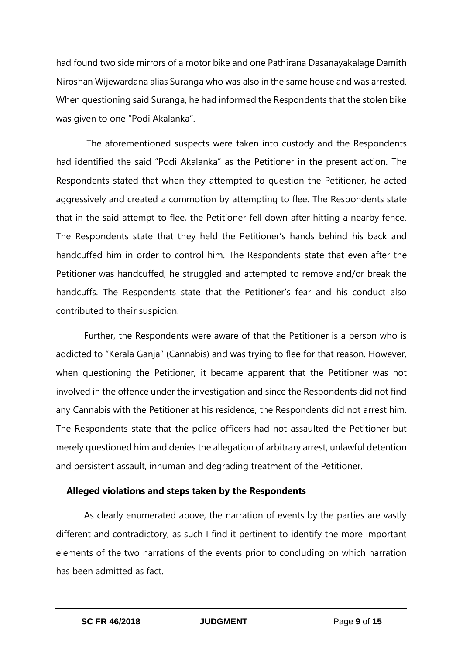had found two side mirrors of a motor bike and one Pathirana Dasanayakalage Damith Niroshan Wijewardana alias Suranga who was also in the same house and was arrested. When questioning said Suranga, he had informed the Respondents that the stolen bike was given to one "Podi Akalanka".

The aforementioned suspects were taken into custody and the Respondents had identified the said "Podi Akalanka" as the Petitioner in the present action. The Respondents stated that when they attempted to question the Petitioner, he acted aggressively and created a commotion by attempting to flee. The Respondents state that in the said attempt to flee, the Petitioner fell down after hitting a nearby fence. The Respondents state that they held the Petitioner's hands behind his back and handcuffed him in order to control him. The Respondents state that even after the Petitioner was handcuffed, he struggled and attempted to remove and/or break the handcuffs. The Respondents state that the Petitioner's fear and his conduct also contributed to their suspicion.

Further, the Respondents were aware of that the Petitioner is a person who is addicted to "Kerala Ganja" (Cannabis) and was trying to flee for that reason. However, when questioning the Petitioner, it became apparent that the Petitioner was not involved in the offence under the investigation and since the Respondents did not find any Cannabis with the Petitioner at his residence, the Respondents did not arrest him. The Respondents state that the police officers had not assaulted the Petitioner but merely questioned him and denies the allegation of arbitrary arrest, unlawful detention and persistent assault, inhuman and degrading treatment of the Petitioner.

#### **Alleged violations and steps taken by the Respondents**

As clearly enumerated above, the narration of events by the parties are vastly different and contradictory, as such I find it pertinent to identify the more important elements of the two narrations of the events prior to concluding on which narration has been admitted as fact.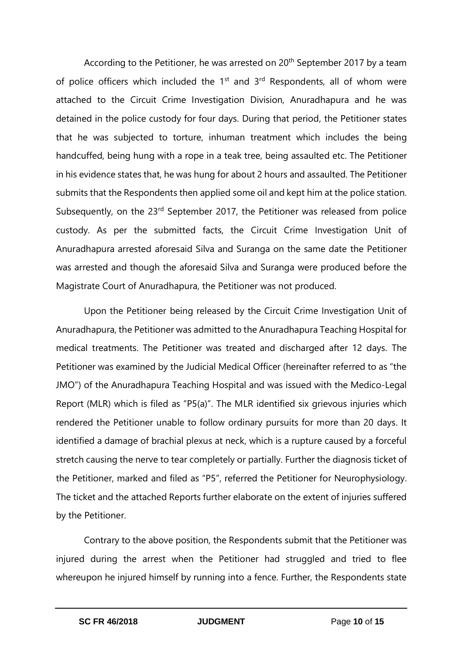According to the Petitioner, he was arrested on 20<sup>th</sup> September 2017 by a team of police officers which included the 1<sup>st</sup> and 3<sup>rd</sup> Respondents, all of whom were attached to the Circuit Crime Investigation Division, Anuradhapura and he was detained in the police custody for four days. During that period, the Petitioner states that he was subjected to torture, inhuman treatment which includes the being handcuffed, being hung with a rope in a teak tree, being assaulted etc. The Petitioner in his evidence states that, he was hung for about 2 hours and assaulted. The Petitioner submits that the Respondents then applied some oil and kept him at the police station. Subsequently, on the 23<sup>rd</sup> September 2017, the Petitioner was released from police custody. As per the submitted facts, the Circuit Crime Investigation Unit of Anuradhapura arrested aforesaid Silva and Suranga on the same date the Petitioner was arrested and though the aforesaid Silva and Suranga were produced before the Magistrate Court of Anuradhapura, the Petitioner was not produced.

Upon the Petitioner being released by the Circuit Crime Investigation Unit of Anuradhapura, the Petitioner was admitted to the Anuradhapura Teaching Hospital for medical treatments. The Petitioner was treated and discharged after 12 days. The Petitioner was examined by the Judicial Medical Officer (hereinafter referred to as "the JMO") of the Anuradhapura Teaching Hospital and was issued with the Medico-Legal Report (MLR) which is filed as "P5(a)". The MLR identified six grievous injuries which rendered the Petitioner unable to follow ordinary pursuits for more than 20 days. It identified a damage of brachial plexus at neck, which is a rupture caused by a forceful stretch causing the nerve to tear completely or partially. Further the diagnosis ticket of the Petitioner, marked and filed as "P5", referred the Petitioner for Neurophysiology. The ticket and the attached Reports further elaborate on the extent of injuries suffered by the Petitioner.

Contrary to the above position, the Respondents submit that the Petitioner was injured during the arrest when the Petitioner had struggled and tried to flee whereupon he injured himself by running into a fence. Further, the Respondents state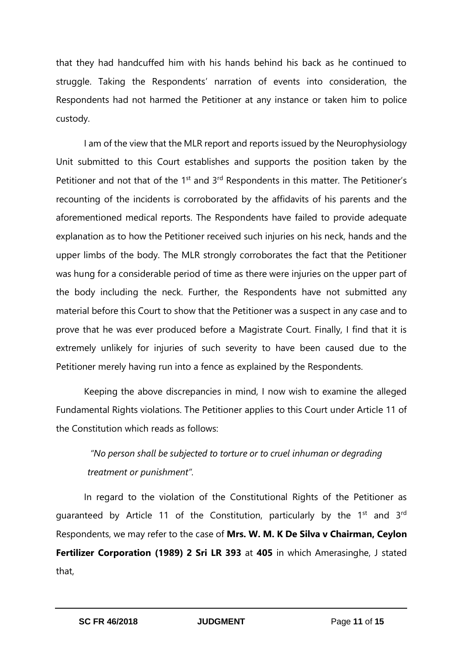that they had handcuffed him with his hands behind his back as he continued to struggle. Taking the Respondents' narration of events into consideration, the Respondents had not harmed the Petitioner at any instance or taken him to police custody.

I am of the view that the MLR report and reports issued by the Neurophysiology Unit submitted to this Court establishes and supports the position taken by the Petitioner and not that of the  $1<sup>st</sup>$  and  $3<sup>rd</sup>$  Respondents in this matter. The Petitioner's recounting of the incidents is corroborated by the affidavits of his parents and the aforementioned medical reports. The Respondents have failed to provide adequate explanation as to how the Petitioner received such injuries on his neck, hands and the upper limbs of the body. The MLR strongly corroborates the fact that the Petitioner was hung for a considerable period of time as there were injuries on the upper part of the body including the neck. Further, the Respondents have not submitted any material before this Court to show that the Petitioner was a suspect in any case and to prove that he was ever produced before a Magistrate Court. Finally, I find that it is extremely unlikely for injuries of such severity to have been caused due to the Petitioner merely having run into a fence as explained by the Respondents.

Keeping the above discrepancies in mind, I now wish to examine the alleged Fundamental Rights violations. The Petitioner applies to this Court under Article 11 of the Constitution which reads as follows:

*"No person shall be subjected to torture or to cruel inhuman or degrading treatment or punishment".*

In regard to the violation of the Constitutional Rights of the Petitioner as guaranteed by Article 11 of the Constitution, particularly by the  $1<sup>st</sup>$  and  $3<sup>rd</sup>$ Respondents, we may refer to the case of **Mrs. W. M. K De Silva v Chairman, Ceylon Fertilizer Corporation (1989) 2 Sri LR 393** at **405** in which Amerasinghe, J stated that,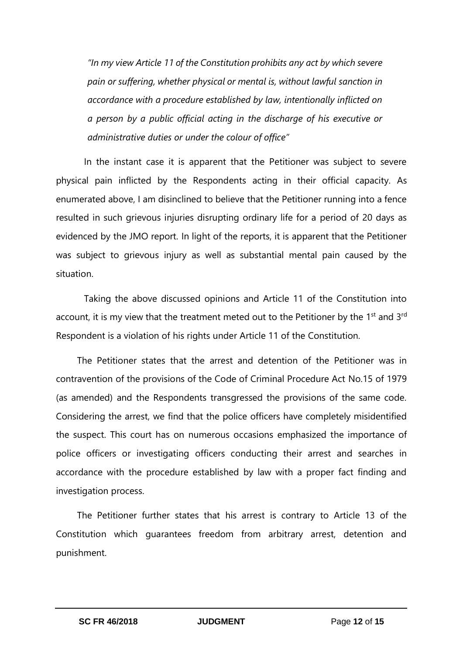*"In my view Article 11 of the Constitution prohibits any act by which severe pain or suffering, whether physical or mental is, without lawful sanction in accordance with a procedure established by law, intentionally inflicted on a person by a public official acting in the discharge of his executive or administrative duties or under the colour of office"*

In the instant case it is apparent that the Petitioner was subject to severe physical pain inflicted by the Respondents acting in their official capacity. As enumerated above, I am disinclined to believe that the Petitioner running into a fence resulted in such grievous injuries disrupting ordinary life for a period of 20 days as evidenced by the JMO report. In light of the reports, it is apparent that the Petitioner was subject to grievous injury as well as substantial mental pain caused by the situation.

Taking the above discussed opinions and Article 11 of the Constitution into account, it is my view that the treatment meted out to the Petitioner by the  $1<sup>st</sup>$  and  $3<sup>rd</sup>$ Respondent is a violation of his rights under Article 11 of the Constitution.

The Petitioner states that the arrest and detention of the Petitioner was in contravention of the provisions of the Code of Criminal Procedure Act No.15 of 1979 (as amended) and the Respondents transgressed the provisions of the same code. Considering the arrest, we find that the police officers have completely misidentified the suspect. This court has on numerous occasions emphasized the importance of police officers or investigating officers conducting their arrest and searches in accordance with the procedure established by law with a proper fact finding and investigation process.

The Petitioner further states that his arrest is contrary to Article 13 of the Constitution which guarantees freedom from arbitrary arrest, detention and punishment.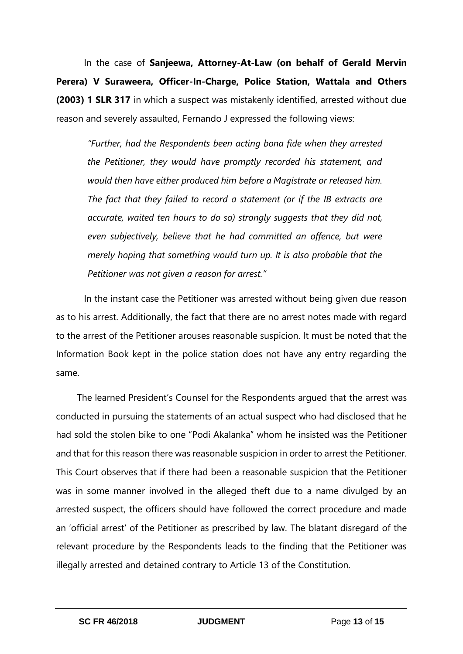In the case of **Sanjeewa, Attorney-At-Law (on behalf of Gerald Mervin Perera) V Suraweera, Officer-In-Charge, Police Station, Wattala and Others (2003) 1 SLR 317** in which a suspect was mistakenly identified, arrested without due reason and severely assaulted, Fernando J expressed the following views:

*"Further, had the Respondents been acting bona fide when they arrested the Petitioner, they would have promptly recorded his statement, and would then have either produced him before a Magistrate or released him. The fact that they failed to record a statement (or if the IB extracts are accurate, waited ten hours to do so) strongly suggests that they did not, even subjectively, believe that he had committed an offence, but were merely hoping that something would turn up. It is also probable that the Petitioner was not given a reason for arrest."*

In the instant case the Petitioner was arrested without being given due reason as to his arrest. Additionally, the fact that there are no arrest notes made with regard to the arrest of the Petitioner arouses reasonable suspicion. It must be noted that the Information Book kept in the police station does not have any entry regarding the same.

The learned President's Counsel for the Respondents argued that the arrest was conducted in pursuing the statements of an actual suspect who had disclosed that he had sold the stolen bike to one "Podi Akalanka" whom he insisted was the Petitioner and that for this reason there was reasonable suspicion in order to arrest the Petitioner. This Court observes that if there had been a reasonable suspicion that the Petitioner was in some manner involved in the alleged theft due to a name divulged by an arrested suspect, the officers should have followed the correct procedure and made an 'official arrest' of the Petitioner as prescribed by law. The blatant disregard of the relevant procedure by the Respondents leads to the finding that the Petitioner was illegally arrested and detained contrary to Article 13 of the Constitution.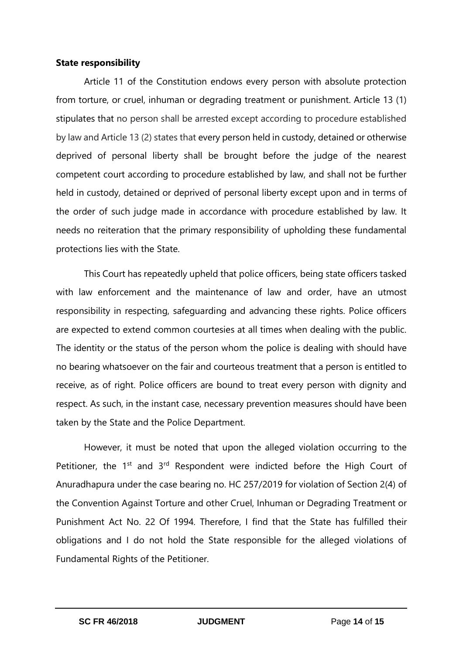#### **State responsibility**

Article 11 of the Constitution endows every person with absolute protection from torture, or cruel, inhuman or degrading treatment or punishment. Article 13 (1) stipulates that no person shall be arrested except according to procedure established by law and Article 13 (2) states that every person held in custody, detained or otherwise deprived of personal liberty shall be brought before the judge of the nearest competent court according to procedure established by law, and shall not be further held in custody, detained or deprived of personal liberty except upon and in terms of the order of such judge made in accordance with procedure established by law. It needs no reiteration that the primary responsibility of upholding these fundamental protections lies with the State.

This Court has repeatedly upheld that police officers, being state officers tasked with law enforcement and the maintenance of law and order, have an utmost responsibility in respecting, safeguarding and advancing these rights. Police officers are expected to extend common courtesies at all times when dealing with the public. The identity or the status of the person whom the police is dealing with should have no bearing whatsoever on the fair and courteous treatment that a person is entitled to receive, as of right. Police officers are bound to treat every person with dignity and respect. As such, in the instant case, necessary prevention measures should have been taken by the State and the Police Department.

However, it must be noted that upon the alleged violation occurring to the Petitioner, the  $1<sup>st</sup>$  and  $3<sup>rd</sup>$  Respondent were indicted before the High Court of Anuradhapura under the case bearing no. HC 257/2019 for violation of Section 2(4) of the Convention Against Torture and other Cruel, Inhuman or Degrading Treatment or Punishment Act No. 22 Of 1994. Therefore, I find that the State has fulfilled their obligations and I do not hold the State responsible for the alleged violations of Fundamental Rights of the Petitioner.